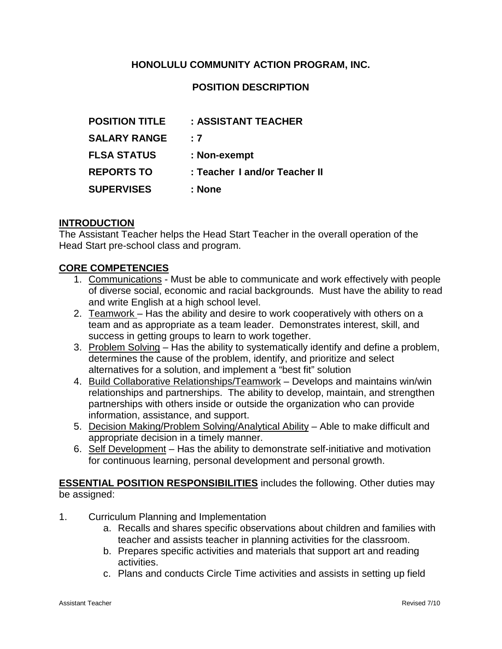# **HONOLULU COMMUNITY ACTION PROGRAM, INC.**

## **POSITION DESCRIPTION**

| <b>POSITION TITLE</b> | : ASSISTANT TEACHER           |
|-----------------------|-------------------------------|
| <b>SALARY RANGE</b>   | : 7                           |
| <b>FLSA STATUS</b>    | : Non-exempt                  |
| <b>REPORTS TO</b>     | : Teacher I and/or Teacher II |
| <b>SUPERVISES</b>     | : None                        |

#### **INTRODUCTION**

The Assistant Teacher helps the Head Start Teacher in the overall operation of the Head Start pre-school class and program.

#### **CORE COMPETENCIES**

- 1. Communications Must be able to communicate and work effectively with people of diverse social, economic and racial backgrounds. Must have the ability to read and write English at a high school level.
- 2. Teamwork Has the ability and desire to work cooperatively with others on a team and as appropriate as a team leader. Demonstrates interest, skill, and success in getting groups to learn to work together.
- 3. Problem Solving Has the ability to systematically identify and define a problem, determines the cause of the problem, identify, and prioritize and select alternatives for a solution, and implement a "best fit" solution
- 4. Build Collaborative Relationships/Teamwork Develops and maintains win/win relationships and partnerships. The ability to develop, maintain, and strengthen partnerships with others inside or outside the organization who can provide information, assistance, and support.
- 5. Decision Making/Problem Solving/Analytical Ability Able to make difficult and appropriate decision in a timely manner.
- 6. Self Development Has the ability to demonstrate self-initiative and motivation for continuous learning, personal development and personal growth.

**ESSENTIAL POSITION RESPONSIBILITIES** includes the following. Other duties may be assigned:

- 1. Curriculum Planning and Implementation
	- a. Recalls and shares specific observations about children and families with teacher and assists teacher in planning activities for the classroom.
	- b. Prepares specific activities and materials that support art and reading activities.
	- c. Plans and conducts Circle Time activities and assists in setting up field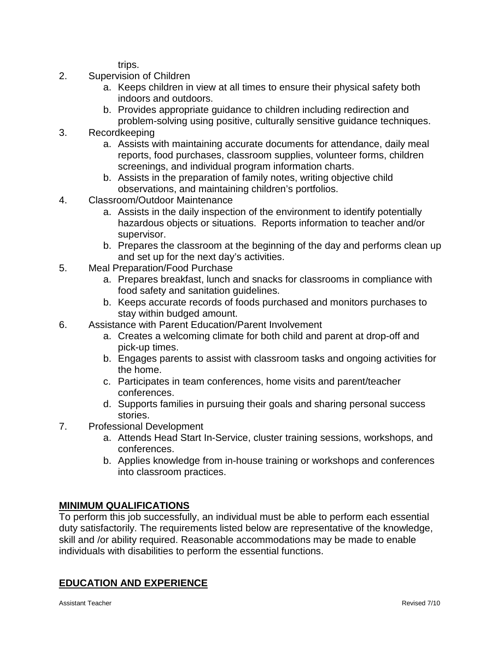trips.

- 2. Supervision of Children
	- a. Keeps children in view at all times to ensure their physical safety both indoors and outdoors.
	- b. Provides appropriate guidance to children including redirection and problem-solving using positive, culturally sensitive guidance techniques.
- 3. Recordkeeping
	- a. Assists with maintaining accurate documents for attendance, daily meal reports, food purchases, classroom supplies, volunteer forms, children screenings, and individual program information charts.
	- b. Assists in the preparation of family notes, writing objective child observations, and maintaining children's portfolios.
- 4. Classroom/Outdoor Maintenance
	- a. Assists in the daily inspection of the environment to identify potentially hazardous objects or situations. Reports information to teacher and/or supervisor.
	- b. Prepares the classroom at the beginning of the day and performs clean up and set up for the next day's activities.
- 5. Meal Preparation/Food Purchase
	- a. Prepares breakfast, lunch and snacks for classrooms in compliance with food safety and sanitation guidelines.
	- b. Keeps accurate records of foods purchased and monitors purchases to stay within budged amount.
- 6. Assistance with Parent Education/Parent Involvement
	- a. Creates a welcoming climate for both child and parent at drop-off and pick-up times.
	- b. Engages parents to assist with classroom tasks and ongoing activities for the home.
	- c. Participates in team conferences, home visits and parent/teacher conferences.
	- d. Supports families in pursuing their goals and sharing personal success stories.
- 7. Professional Development
	- a. Attends Head Start In-Service, cluster training sessions, workshops, and conferences.
	- b. Applies knowledge from in-house training or workshops and conferences into classroom practices.

## **MINIMUM QUALIFICATIONS**

To perform this job successfully, an individual must be able to perform each essential duty satisfactorily. The requirements listed below are representative of the knowledge, skill and /or ability required. Reasonable accommodations may be made to enable individuals with disabilities to perform the essential functions.

# **EDUCATION AND EXPERIENCE**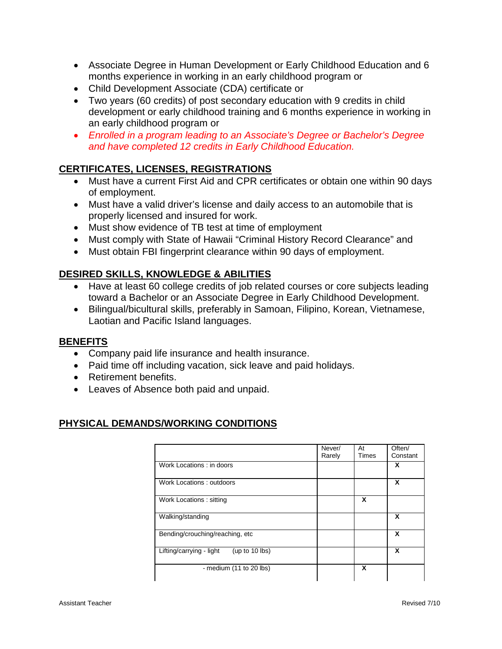- Associate Degree in Human Development or Early Childhood Education and 6 months experience in working in an early childhood program or
- Child Development Associate (CDA) certificate or
- Two years (60 credits) of post secondary education with 9 credits in child development or early childhood training and 6 months experience in working in an early childhood program or
- *Enrolled in a program leading to an Associate's Degree or Bachelor's Degree and have completed 12 credits in Early Childhood Education.*

# **CERTIFICATES, LICENSES, REGISTRATIONS**

- Must have a current First Aid and CPR certificates or obtain one within 90 days of employment.
- Must have a valid driver's license and daily access to an automobile that is properly licensed and insured for work.
- Must show evidence of TB test at time of employment
- Must comply with State of Hawaii "Criminal History Record Clearance" and
- Must obtain FBI fingerprint clearance within 90 days of employment.

# **DESIRED SKILLS, KNOWLEDGE & ABILITIES**

- Have at least 60 college credits of job related courses or core subjects leading toward a Bachelor or an Associate Degree in Early Childhood Development.
- Bilingual/bicultural skills, preferably in Samoan, Filipino, Korean, Vietnamese, Laotian and Pacific Island languages.

## **BENEFITS**

- Company paid life insurance and health insurance.
- Paid time off including vacation, sick leave and paid holidays.
- Retirement benefits.
- Leaves of Absence both paid and unpaid.

## **PHYSICAL DEMANDS/WORKING CONDITIONS**

|                                            | Never/ | At           | Often/   |
|--------------------------------------------|--------|--------------|----------|
|                                            | Rarely | <b>Times</b> | Constant |
| Work Locations: in doors                   |        |              | X        |
| Work Locations: outdoors                   |        |              | x        |
| Work Locations: sitting                    |        | X            |          |
| Walking/standing                           |        |              | x        |
| Bending/crouching/reaching, etc.           |        |              | x        |
| Lifting/carrying - light<br>(up to 10 lbs) |        |              | x        |
| - medium (11 to 20 lbs)                    |        | X            |          |